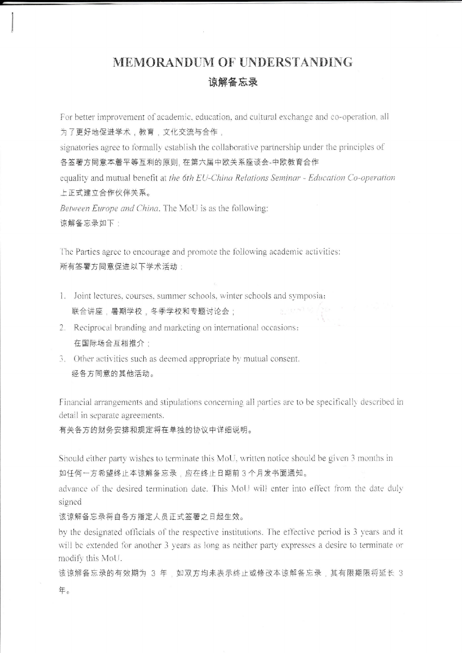## MEMORANDUM OF UNDERSTANDING 谅解备忘录

For better improvement of academic, education, and cultural exchange and co-operation, all 为了更好地促进学术,教育,文化交流与合作,

signatories agree to formally establish the collaborative partnership under the principles of 各签署方同意本着平等互利的原则, 在第六届中欧关系座谈会-中欧教育合作

equality and mutual benefit at the 6th EU-China Relations Seminar - Education Co-operation 上正式建立合作伙伴关系。

Between Europe and China. The MoU is as the following: 谅解备忘录如下:

The Parties agree to encourage and promote the following academic activities: 所有签署方同意促进以下学术活动:

- 1. Joint lectures, courses, summer schools, winter schools and symposia; 联合讲座,暑期学校,冬季学校和专题讨论会;
- 2. Reciprocal branding and marketing on international occasions; 在国际场合互相推介:
- 3. Other activities such as deemed appropriate by mutual consent. 经各方同意的其他活动。

Financial arrangements and stipulations concerning all parties are to be specifically described in detail in separate agreements.

有关各方的财务安排和规定将在单独的协议中详细说明。

Should either party wishes to terminate this MoU, written notice should be given 3 months in 如任何一方希望终止本谅解备忘录,应在终止日期前3个月发书面通知。

advance of the desired termination date. This MoU will enter into effect from the date duly signed

该谅解备忘录将自各方指定人员正式签署之日起生效。

by the designated officials of the respective institutions. The effective period is 3 years and it will be extended for another 3 years as long as neither party expresses a desire to terminate or modify this MoU.

该谅解备忘录的有效期为 3 年,如双方均未表示终止或修改本谅解备忘录,其有限期限将延长 3 年。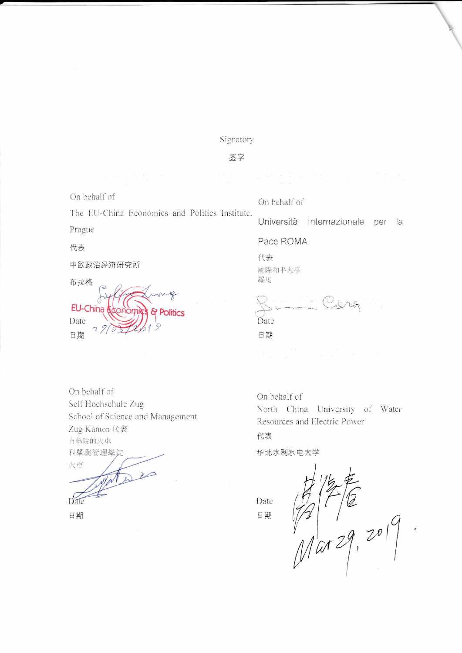Signatory

签字

On behalf of

The EU-China Economics and Politics Institute. Prague

代表

中欧政治经济研究所

布拉格 EU-China & Politics Date 日期

On behalf of

Università Internazionale per la

Pace ROMA

代表 國際和平大學 羅馬

Date 日期

On behalf of Self Hochschule Zug School of Science and Management Zug Kanton 代表 自學院的火車 科學與管理學院 火車

 $\nu$ Date

日期

On behalf of North China University of Water Resources and Electric Power

代表

华北水利水电大学

Date 日期

 $\frac{1}{2}$   $\frac{1}{2}$   $\frac{1}{2}$   $\frac{1}{2}$   $\frac{1}{2}$   $\frac{1}{2}$   $\frac{1}{2}$   $\frac{1}{2}$   $\frac{1}{2}$